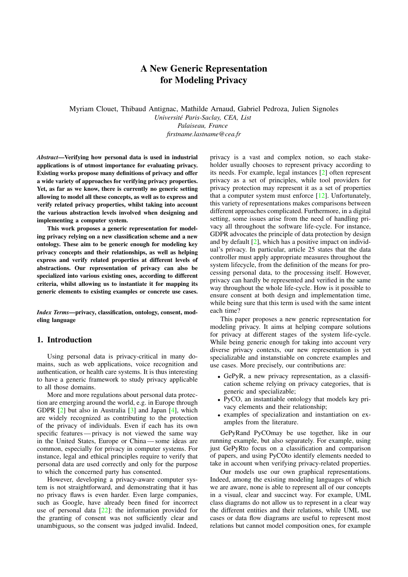# A New Generic Representation for Modeling Privacy

Myriam Clouet, Thibaud Antignac, Mathilde Arnaud, Gabriel Pedroza, Julien Signoles *Universite Paris-Saclay, CEA, List ´*

*Palaiseau, France firstname.lastname@cea.fr*

*Abstract*—Verifying how personal data is used in industrial applications is of utmost importance for evaluating privacy. Existing works propose many definitions of privacy and offer a wide variety of approaches for verifying privacy properties. Yet, as far as we know, there is currently no generic setting allowing to model all these concepts, as well as to express and verify related privacy properties, whilst taking into account the various abstraction levels involved when designing and implementing a computer system.

This work proposes a generic representation for modeling privacy relying on a new classification scheme and a new ontology. These aim to be generic enough for modeling key privacy concepts and their relationships, as well as helping express and verify related properties at different levels of abstractions. Our representation of privacy can also be specialized into various existing ones, according to different criteria, whilst allowing us to instantiate it for mapping its generic elements to existing examples or concrete use cases.

*Index Terms*—privacy, classification, ontology, consent, modeling language

#### 1. Introduction

Using personal data is privacy-critical in many domains, such as web applications, voice recognition and authentication, or health care systems. It is thus interesting to have a generic framework to study privacy applicable to all those domains.

More and more regulations about personal data protection are emerging around the world, e.g. in Europe through GDPR [\[2\]](#page-8-0) but also in Australia [\[3\]](#page-8-1) and Japan [\[4\]](#page-8-2), which are widely recognized as contributing to the protection of the privacy of individuals. Even if each has its own specific features — privacy is not viewed the same way in the United States, Europe or China — some ideas are common, especially for privacy in computer systems. For instance, legal and ethical principles require to verify that personal data are used correctly and only for the purpose to which the concerned party has consented.

However, developing a privacy-aware computer system is not straightforward, and demonstrating that it has no privacy flaws is even harder. Even large companies, such as Google, have already been fined for incorrect use of personal data  $[22]$ : the information provided for the granting of consent was not sufficiently clear and unambiguous, so the consent was judged invalid. Indeed,

privacy is a vast and complex notion, so each stakeholder usually chooses to represent privacy according to its needs. For example, legal instances [\[2\]](#page-8-0) often represent privacy as a set of principles, while tool providers for privacy protection may represent it as a set of properties that a computer system must enforce [\[12\]](#page-8-4). Unfortunately, this variety of representations makes comparisons between different approaches complicated. Furthermore, in a digital setting, some issues arise from the need of handling privacy all throughout the software life-cycle. For instance, GDPR advocates the principle of data protection by design and by default  $[2]$ , which has a positive impact on individual's privacy. In particular, article 25 states that the data controller must apply appropriate measures throughout the system lifecycle, from the definition of the means for processing personal data, to the processing itself. However, privacy can hardly be represented and verified in the same way throughout the whole life-cycle. How is it possible to ensure consent at both design and implementation time, while being sure that this term is used with the same intent each time?

This paper proposes a new generic representation for modeling privacy. It aims at helping compare solutions for privacy at different stages of the system life-cycle. While being generic enough for taking into account very diverse privacy contexts, our new representation is yet specializable and instanstiable on concrete examples and use cases. More precisely, our contributions are:

- GePyR, a new privacy representation, as a classification scheme relying on privacy categories, that is generic and specializable;
- PyCO, an instantiable ontology that models key privacy elements and their relationship;
- examples of specialization and instantiation on examples from the literature.

GePyRand PyCOmay be use together, like in our running example, but also separately. For example, using just GePyRto focus on a classification and comparison of papers, and using PyCOto identify elements needed to take in account when verifying privacy-related properties.

Our models use our own graphical representations. Indeed, among the existing modeling languages of which we are aware, none is able to represent all of our concepts in a visual, clear and succinct way. For example, UML class diagrams do not allow us to represent in a clear way the different entities and their relations, while UML use cases or data flow diagrams are useful to represent most relations but cannot model composition ones, for example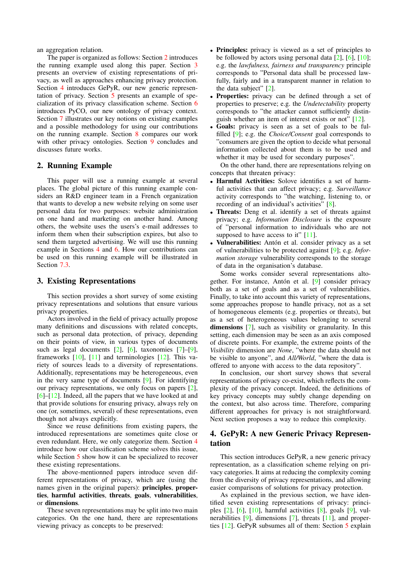an aggregation relation.

The paper is organized as follows: Section [2](#page-1-0) introduces the running example used along this paper. Section [3](#page-1-1) presents an overview of existing representations of privacy, as well as approaches enhancing privacy protection. Section [4](#page-1-2) introduces GePyR, our new generic representation of privacy. Section [5](#page-2-0) presents an example of specialization of its privacy classification scheme. Section [6](#page-3-0) introduces PyCO, our new ontology of privacy context. Section [7](#page-4-0) illustrates our key notions on existing examples and a possible methodology for using our contributions on the running example. Section [8](#page-7-0) compares our work with other privacy ontologies. Section [9](#page-7-1) concludes and discusses future works.

## <span id="page-1-0"></span>2. Running Example

This paper will use a running example at several places. The global picture of this running example considers an R&D engineer team in a French organization that wants to develop a new website relying on some user personal data for two purposes: website administration on one hand and marketing on another hand. Among others, the website uses the users's e-mail addresses to inform them when their subscription expires, but also to send them targeted advertising. We will use this running example in Sections [4](#page-1-2) and [6.](#page-3-0) How our contributions can be used on this running example will be illustrated in Section [7.3.](#page-6-0)

#### <span id="page-1-1"></span>3. Existing Representations

This section provides a short survey of some existing privacy representations and solutions that ensure various privacy properties.

Actors involved in the field of privacy actually propose many definitions and discussions with related concepts, such as personal data protection, of privacy, depending on their points of view, in various types of documents such as legal documents [\[2\]](#page-8-0), [\[6\]](#page-8-5), taxonomies [\[7\]](#page-8-6)–[\[9\]](#page-8-7), frameworks  $[10]$ ,  $[11]$  and terminologies  $[12]$ . This variety of sources leads to a diversity of representations. Additionally, representations may be heterogeneous, even in the very same type of documents [\[9\]](#page-8-7). For identifying our privacy representations, we only focus on papers [\[2\]](#page-8-0), [\[6\]](#page-8-5)–[\[12\]](#page-8-4). Indeed, all the papers that we have looked at and that provide solutions for ensuring privacy, always rely on one (or, sometimes, several) of these representations, even though not always explicitly.

Since we reuse definitions from existing papers, the introduced representations are sometimes quite close or even redundant. Here, we only categorize them. Section [4](#page-1-2) introduce how our classification scheme solves this issue, while Section [5](#page-2-0) show how it can be specialized to recover these existing representations.

The above-mentionned papers introduce seven different representations of privacy, which are (using the names given in the original papers): principles, properties, harmful activities, threats, goals, vulnerabilities, or dimensions.

These seven representations may be split into two main categories. On the one hand, there are representations viewing privacy as concepts to be preserved:

- Principles: privacy is viewed as a set of principles to be followed by actors using personal data [\[2\]](#page-8-0), [\[6\]](#page-8-5), [\[10\]](#page-8-8); e.g. the *lawfulness, fairness and transparency* principle corresponds to "Personal data shall be processed lawfully, fairly and in a transparent manner in relation to the data subject" [\[2\]](#page-8-0).
- Properties: privacy can be defined through a set of properties to preserve; e.g. the *Undetectability* property corresponds to "the attacker cannot sufficiently distinguish whether an item of interest exists or not" [\[12\]](#page-8-4).
- Goals: privacy is seen as a set of goals to be fulfilled [\[9\]](#page-8-7); e.g. the *Choice/Consent* goal corresponds to "consumers are given the option to decide what personal information collected about them is to be used and whether it may be used for secondary purposes".

On the other hand, there are representations relying on concepts that threaten privacy:

- Harmful Activities: Solove identifies a set of harmful activities that can affect privacy; e.g. *Surveillance* activity corresponds to "the watching, listening to, or recording of an individual's activities" [\[8\]](#page-8-10).
- Threats: Deng et al. identify a set of threats against privacy; e.g. *Information Disclosure* is the exposure of "personal information to individuals who are not supposed to have access to it"  $[11]$ .
- Vulnerabilities: Antón et al. consider privacy as a set of vulnerabilities to be protected against [\[9\]](#page-8-7); e.g. *Information storage* vulnerability corresponds to the storage of data in the organisation's database.

Some works consider several representations altogether. For instance, Antón et al.  $[9]$  $[9]$  consider privacy both as a set of goals and as a set of vulnerabilities. Finally, to take into account this variety of representations, some approaches propose to handle privacy, not as a set of homogeneous elements (e.g. properties or threats), but as a set of heterogeneous values belonging to several dimensions [\[7\]](#page-8-6), such as visibility or granularity. In this setting, each dimension may be seen as an axis composed of discrete points. For example, the extreme points of the *Visibility* dimension are *None*, "where the data should not be visible to anyone", and *All/World*, "where the data is offered to anyone with access to the data repository".

In conclusion, our short survey shows that several representations of privacy co-exist, which reflects the complexity of the privacy concept. Indeed, the definitions of key privacy concepts may subtly change depending on the context, but also across time. Therefore, comparing different approaches for privacy is not straightforward. Next section proposes a way to reduce this complexity.

# <span id="page-1-2"></span>4. GePyR: A new Generic Privacy Representation

This section introduces GePyR, a new generic privacy representation, as a classification scheme relying on privacy categories. It aims at reducing the complexity coming from the diversity of privacy representations, and allowing easier comparisons of solutions for privacy protection.

As explained in the previous section, we have identified seven existing representations of privacy: principles [\[2\]](#page-8-0), [\[6\]](#page-8-5), [\[10\]](#page-8-8), harmful activities [\[8\]](#page-8-10), goals [\[9\]](#page-8-7), vulnerabilities [\[9\]](#page-8-7), dimensions [\[7\]](#page-8-6), threats [\[11\]](#page-8-9), and properties [\[12\]](#page-8-4). GePyR subsumes all of them: Section [5](#page-2-0) explain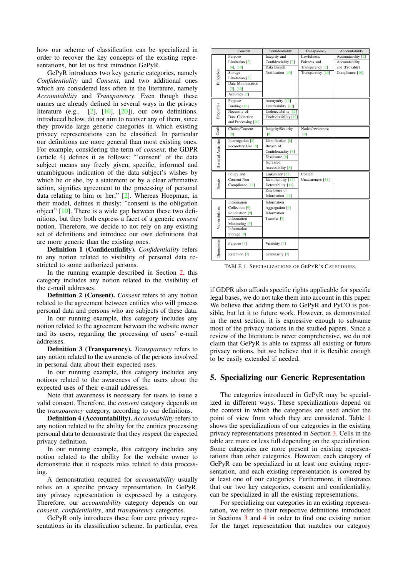how our scheme of classification can be specialized in order to recover the key concepts of the existing representations, but let us first introduce GePyR.

GePyR introduces two key generic categories, namely *Confidentiality* and *Consent*, and two additional ones which are considered less often in the literature, namely *Accountability* and *Transparency*. Even though these names are already defined in several ways in the privacy literature (e.g., [\[2\]](#page-8-0), [\[10\]](#page-8-8), [\[20\]](#page-8-11)), our own definitions, introduced below, do not aim to recover any of them, since they provide large generic categories in which existing privacy representations can be classified. In particular our definitions are more general than most existing ones. For example, considering the term of *consent*, the GDPR (article 4) defines it as follows: "'consent' of the data subject means any freely given, specific, informed and unambiguous indication of the data subject's wishes by which he or she, by a statement or by a clear affirmative action, signifies agreement to the processing of personal data relating to him or her;" [\[2\]](#page-8-0). Whereas Hoepman, in their model, defines it thusly: "consent is the obligation object" [\[10\]](#page-8-8). There is a wide gap between these two definitions, but they both express a facet of a generic *consent* notion. Therefore, we decide to not rely on any existing set of definitions and introduce our own definitions that are more generic than the existing ones.

Definition 1 (Confidentiality). *Confidentiality* refers to any notion related to visibility of personal data restricted to some authorized persons.

In the running example described in Section [2,](#page-1-0) this category includes any notion related to the visibility of the e-mail addresses.

Definition 2 (Consent). *Consent* refers to any notion related to the agreement between entities who will process personal data and persons who are subjects of these data.

In our running example, this category includes any notion related to the agreement between the website owner and its users, regarding the processing of users' e-mail addresses.

Definition 3 (Transparency). *Transparency* refers to any notion related to the awareness of the persons involved in personal data about their expected uses.

In our running example, this category includes any notions related to the awareness of the users about the expected uses of their e-mail addresses.

Note that awareness is necessary for users to issue a valid consent. Therefore, the *consent* category depends on the *transparency* category, according to our definitions.

Definition 4 (Accountability). *Accountability* refers to any notion related to the ability for the entities processing personal data to demonstrate that they respect the expected privacy definition.

In our running example, this category includes any notion related to the ability for the website owner to demonstrate that it respects rules related to data processing.

A demonstration required for *accountability* usually relies on a specific privacy representation. In GePyR, any privacy representation is expressed by a category. Therefore, our *accountability* category depends on our *consent*, *confidentiality*, and *transparency* categories.

GePyR only introduces these four core privacy representations in its classification scheme. In particular, even

|                    | Consent                     | Confidentiality              | Transparency      | Accountability                |
|--------------------|-----------------------------|------------------------------|-------------------|-------------------------------|
|                    | Purpose                     | Integrity and                | Lawfulness.       | Accountability <sup>[2]</sup> |
|                    | Limitation [2]              | Confidentiality [2]          | Fairness and      | Accountability                |
|                    | $[6]$ , $[10]$              | Data Breach                  | Transparency [2]  | and (Provable)                |
|                    | Storage                     | Notification [10]            | Transparency [10] | Compliance [10]               |
| Principles         | Limitation [2]              |                              |                   |                               |
|                    | Data Minimization           |                              |                   |                               |
|                    | $[2]$ , $[10]$              |                              |                   |                               |
|                    | Accuracy <sup>[2]</sup>     |                              |                   |                               |
|                    | Purpose                     | Anonymity [12]               |                   |                               |
| Properties         | Binding $[16]$              | Unlinkability [12]           |                   |                               |
|                    | Necessity of                | Undetectability [12]         |                   |                               |
|                    | Data Collection             | Unobservability [12]         |                   |                               |
|                    | and Processing $[16]$       |                              |                   |                               |
| Goals              | Choice/Consent              | Integrity/Security           | Notice/Awareness  |                               |
|                    | [9]                         | [9]                          | [9]               |                               |
|                    | Interrogation [8]           | Identification [8]           |                   |                               |
| Harmful Activities | Secondary Use [8]           | Breach of                    |                   |                               |
|                    |                             | Confidentiality [8]          |                   |                               |
|                    |                             | Disclosure <sup>[8]</sup>    |                   |                               |
|                    |                             | <b>Increased</b>             |                   |                               |
|                    |                             | Accessibility <sup>[8]</sup> |                   |                               |
|                    | Policy and                  | Linkability [11]             | Content           |                               |
|                    | Consent Non-                | Identifiability [11]         | Unawareness [11]  |                               |
| Threats            | Compliance [11]             | Detectability [11]           |                   |                               |
|                    |                             | Disclosure of                |                   |                               |
|                    |                             | Information [11]             |                   |                               |
|                    | Information                 | Information                  |                   |                               |
| Vulnerabilities    | Collection [9]              | Aggregation [9]              |                   |                               |
|                    | Solicitation <sup>[9]</sup> | Information                  |                   |                               |
|                    | Information                 | Transfer <sup>[9]</sup>      |                   |                               |
|                    | Monitoring [9]              |                              |                   |                               |
|                    | Information                 |                              |                   |                               |
|                    | Storage $[9]$               |                              |                   |                               |
| Dimensions         | Purpose [7]                 | Visibility [7]               |                   |                               |
|                    | Retention [7]               | Granularity [7]              |                   |                               |

<span id="page-2-1"></span>TABLE 1. SPECIALIZATIONS OF GEPYR'S CATEGORIES.

if GDPR also affords specific rights applicable for specific legal bases, we do not take them into account in this paper. We believe that adding them to GePyR and PyCO is possible, but let it to future work. However, as demonstrated in the next section, it is expressive enough to subsume most of the privacy notions in the studied papers. Since a review of the literature is never comprehensive, we do not claim that GePyR is able to express all existing or future privacy notions, but we believe that it is flexible enough to be easily extended if needed.

#### <span id="page-2-0"></span>5. Specializing our Generic Representation

The categories introduced in GePyR may be specialized in different ways. These specializations depend on the context in which the categories are used and/or the point of view from which they are considered. Table [1](#page-2-1) shows the specializations of our categories in the existing privacy representations presented in Section [3.](#page-1-1) Cells in the table are more or less full depending on the specialization. Some categories are more present in existing representations than other categories. However, each category of GePyR can be specialized in at least one existing representation, and each existing representation is covered by at least one of our categories. Furthermore, it illustrates that our two key categories, consent and confidentiality, can be specialized in all the existing representations.

For specializing our categories in an existing representation, we refer to their respective definitions introduced in Sections [3](#page-1-1) and [4](#page-1-2) in order to find one existing notion for the target representation that matches our category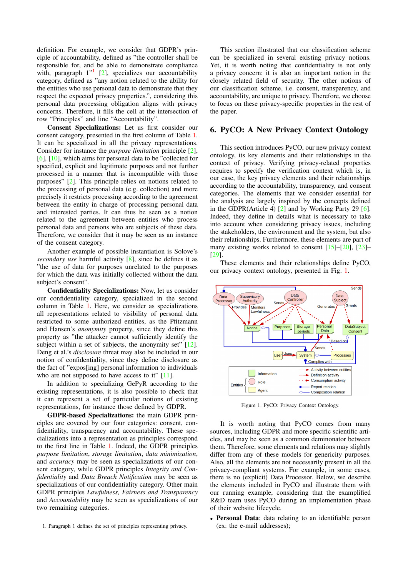definition. For example, we consider that GDPR's principle of accountability, defined as "the controller shall be responsible for, and be able to demonstrate compliance with, paragraph  $1''$  $1''$  [\[2\]](#page-8-0), specializes our accountability category, defined as "any notion related to the ability for the entities who use personal data to demonstrate that they respect the expected privacy properties.", considering this personal data processing obligation aligns with privacy concerns. Therefore, it fills the cell at the intersection of row "Principles" and line "Accountability".

Consent Specializations: Let us first consider our consent category, presented in the first column of Table [1.](#page-2-1) It can be specialized in all the privacy representations. Consider for instance the *purpose limitation* principle [\[2\]](#page-8-0), [\[6\]](#page-8-5), [\[10\]](#page-8-8), which aims for personal data to be "collected for specified, explicit and legitimate purposes and not further processed in a manner that is incompatible with those purposes" [\[2\]](#page-8-0). This principle relies on notions related to the processing of personal data (e.g. collection) and more precisely it restricts processing according to the agreement between the entity in charge of processing personal data and interested parties. It can thus be seen as a notion related to the agreement between entities who process personal data and persons who are subjects of these data. Therefore, we consider that it may be seen as an instance of the consent category.

Another example of possible instantiation is Solove's *secondary use* harmful activity [\[8\]](#page-8-10), since he defines it as "the use of data for purposes unrelated to the purposes for which the data was initially collected without the data subject's consent".

Confidentiality Specializations: Now, let us consider our confidentiality category, specialized in the second column in Table [1.](#page-2-1) Here, we consider as specializations all representations related to visibility of personal data restricted to some authorized entities, as the Pfitzmann and Hansen's *anonymity* property, since they define this property as "the attacker cannot sufficiently identify the subject within a set of subjects, the anonymity set" [\[12\]](#page-8-4). Deng et al.'s *disclosure* threat may also be included in our notion of confidentiality, since they define disclosure as the fact of "expos[ing] personal information to individuals who are not supposed to have access to it" [\[11\]](#page-8-9).

In addition to specializing GePyR according to the existing representations, it is also possible to check that it can represent a set of particular notions of existing representations, for instance those defined by GDPR.

GDPR-based Specializations: the main GDPR principles are covered by our four categories: consent, confidentiality, transparency and accountability. These specializations into a representation as principles correspond to the first line in Table [1.](#page-2-1) Indeed, the GDPR principles *purpose limitation*, *storage limitation*, *data minimization*, and *accuracy* may be seen as specializations of our consent category, while GDPR principles *Integrity and Confidentiality* and *Data Breach Notification* may be seen as specializations of our confidentiality category. Other main GDPR principles *Lawfulness, Fairness and Transparency* and *Accountability* may be seen as specializations of our two remaining categories.

This section illustrated that our classification scheme can be specialized in several existing privacy notions. Yet, it is worth noting that confidentiality is not only a privacy concern: it is also an important notion in the closely related field of security. The other notions of our classification scheme, i.e. consent, transparency, and accountability, are unique to privacy. Therefore, we choose to focus on these privacy-specific properties in the rest of the paper.

#### <span id="page-3-0"></span>6. PyCO: A New Privacy Context Ontology

This section introduces PyCO, our new privacy context ontology, its key elements and their relationships in the context of privacy. Verifying privacy-related properties requires to specify the verification context which is, in our case, the key privacy elements and their relationships according to the accountability, transparency, and consent categories. The elements that we consider essential for the analysis are largely inspired by the concepts defined in the GDPR(Article 4) [\[2\]](#page-8-0) and by Working Party 29 [\[6\]](#page-8-5). Indeed, they define in details what is necessary to take into account when considering privacy issues, including the stakeholders, the environment and the system, but also their relationships. Furthermore, these elements are part of many existing works related to consent  $[15]$ – $[20]$ ,  $[23]$ – [\[29\]](#page-8-15).

These elements and their relationships define PyCO, our privacy context ontology, presented in Fig. [1.](#page-3-2)



<span id="page-3-2"></span>Figure 1. PyCO: Privacy Context Ontology.

It is worth noting that PyCO comes from many sources, including GDPR and more specific scientific articles, and may be seen as a common deminonator between them. Therefore, some elements and relations may slightly differ from any of these models for genericity purposes. Also, all the elements are not necessarily present in all the privacy-compliant systems. For example, in some cases, there is no (explicit) Data Processor. Below, we describe the elements included in PyCO and illustrate them with our running example, considering that the examplified R&D team uses PyCO during an implementation phase of their website lifecycle.

• Personal Data: data relating to an identifiable person (ex: the e-mail addresses);

<span id="page-3-1"></span><sup>1.</sup> Paragraph 1 defines the set of principles representing privacy.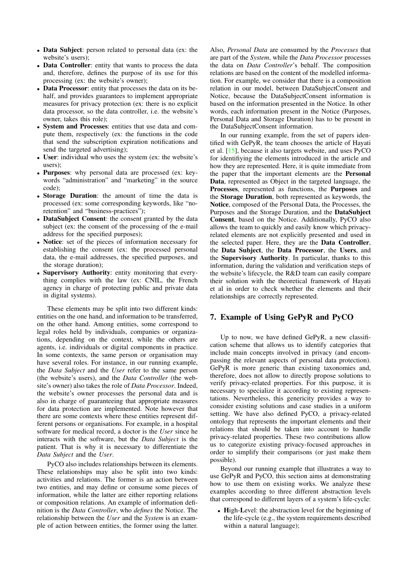- Data Subject: person related to personal data (ex: the website's users);
- Data Controller: entity that wants to process the data and, therefore, defines the purpose of its use for this processing (ex: the website's owner);
- Data Processor: entity that processes the data on its behalf, and provides guarantees to implement appropriate measures for privacy protection (ex: there is no explicit data processor, so the data controller, i.e. the website's owner, takes this role);
- System and Processes: entities that use data and compute them, respectively (ex: the functions in the code that send the subscription expiration notifications and send the targeted advertising);
- User: individual who uses the system (ex: the website's users);
- Purposes: why personal data are processed (ex: keywords "administration" and "marketing" in the source code);
- Storage Duration: the amount of time the data is processed (ex: some corresponding keywords, like "noretention" and "business-practices");
- DataSubject Consent: the consent granted by the data subject (ex: the consent of the processing of the e-mail address for the specified purposes);
- Notice: set of the pieces of information necessary for establishing the consent (ex: the processed personal data, the e-mail addresses, the specified purposes, and the storage duration);
- Supervisory Authority: entity monitoring that everything complies with the law (ex: CNIL, the French agency in charge of protecting public and private data in digital systems).

These elements may be split into two different kinds: entities on the one hand, and information to be transferred, on the other hand. Among entities, some correspond to legal roles held by individuals, companies or organizations, depending on the context, while the others are agents, i.e. individuals or digital components in practice. In some contexts, the same person or organisation may have several roles. For instance, in our running example, the *Data Subject* and the *User* refer to the same person (the website's users), and the *Data Controller* (the website's owner) also takes the role of *Data Processor*. Indeed, the website's owner processes the personal data and is also in charge of guaranteeing that appropriate measures for data protection are implemented. Note however that there are some contexts where these entities represent different persons or organisations. For example, in a hospital software for medical record, a doctor is the *User* since he interacts with the software, but the *Data Subject* is the patient. That is why it is necessary to differentiate the *Data Subject* and the *User*.

PyCO also includes relationships between its elements. These relationships may also be split into two kinds: activities and relations. The former is an action between two entities, and may define or consume some pieces of information, while the latter are either reporting relations or composition relations. An example of information definition is the *Data Controller*, who *defines* the Notice. The relationship between the *User* and the *System* is an example of action between entities, the former using the latter.

Also, *Personal Data* are consumed by the *Processes* that are part of the *System*, while the *Data Processor* processes the data on *Data Controller*'s behalf. The composition relations are based on the content of the modelled information. For example, we consider that there is a composition relation in our model, between DataSubjectConsent and Notice, because the DataSubjectConsent information is based on the information presented in the Notice. In other words, each information present in the Notice (Purposes, Personal Data and Storage Duration) has to be present in the DataSubjectConsent information.

In our running example, from the set of papers identified with GePyR, the team chooses the article of Hayati et al. [\[15\]](#page-8-13), because it also targets website, and uses PyCO for identifiying the elements introduced in the article and how they are represented. Here, it is quite immediate from the paper that the important elements are the Personal Data, represented as Object in the targeted language, the Processes, represented as functions, the Purposes and the Storage Duration, both represented as keywords, the Notice, composed of the Personal Data, the Processes, the Purposes and the Storage Duration, and the DataSubject Consent, based on the Notice. Additionally, PyCO also allows the team to quickly and easily know which privacyrelated elements are not explicitly presented and used in the selected paper. Here, they are the Data Controller, the Data Subject, the Data Processor, the Users, and the Supervisory Authority. In particular, thanks to this information, during the validation and verification steps of the website's lifecycle, the R&D team can easily compare their solution with the theoretical framework of Hayati et al in order to check whether the elements and their relationships are correctly represented.

## <span id="page-4-0"></span>7. Example of Using GePyR and PyCO

Up to now, we have defined GePyR, a new classification scheme that allows us to identify categories that include main concepts involved in privacy (and encompassing the relevant aspects of personal data protection). GePyR is more generic than existing taxonomies and, therefore, does not allow to directly propose solutions to verify privacy-related properties. For this purpose, it is necessary to specialize it according to existing representations. Nevertheless, this genericity provides a way to consider existing solutions and case studies in a uniform setting. We have also defined PyCO, a privacy-related ontology that represents the important elements and their relations that should be taken into account to handle privacy-related properties. These two contributions allow us to categorize existing privacy-focused approaches in order to simplify their comparisons (or just make them possible).

Beyond our running example that illustrates a way to use GePyR and PyCO, this section aims at demonstrating how to use them on existing works. We analyze these examples according to three different abstraction levels that correspond to different layers of a system's life-cycle:

• High-Level: the abstraction level for the beginning of the life-cycle (e.g., the system requirements described within a natural language);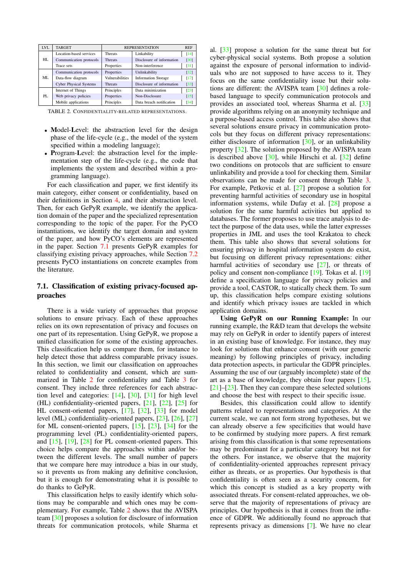| <b>LVL</b> | <b>TARGET</b>                 | <b>REPRESENTATION</b> |                            | <b>REF</b>        |
|------------|-------------------------------|-----------------------|----------------------------|-------------------|
| HL.        | Location-based services       | <b>Threats</b>        | Linkability                | [14]              |
|            | Communication protocols       | <b>Threats</b>        | Disclosure of information  | [30]              |
|            | Trace sets                    | Properties            | Non-interference           | $\left[31\right]$ |
| ML.        | Communication protocols       | Properties            | Unlinkability              | [32]              |
|            | Data-flow diagram             | Vulnerabilities       | <b>Information Storage</b> | [17]              |
|            | <b>Cyber Physical Systems</b> | <b>Threats</b>        | Disclosure of information  | $[33]$            |
| PL.        | Internet of Things            | Principles            | Data minimization          | $[23]$            |
|            | Web privacy policies          | Properties            | Non-Disclosure             | [15]              |
|            | Mobile applications           | Principles            | Data breach notification   | $\left[34\right]$ |

<span id="page-5-1"></span>TABLE 2. CONFIDENTIALITY-RELATED REPRESENTATIONS.

- Model-Level: the abstraction level for the design phase of the life-cycle (e.g., the model of the system specified within a modeling language);
- Program-Level: the abstraction level for the implementation step of the life-cycle (e.g., the code that implements the system and described within a programming language).

For each classification and paper, we first identify its main category, either consent or confidentiality, based on their definitions in Section [4,](#page-1-2) and their abstraction level. Then, for each GePyR example, we identify the application domain of the paper and the specialized representation corresponding to the topic of the paper. For the PyCO instantiations, we identify the target domain and system of the paper, and how PyCO's elements are represented in the paper. Section [7.1](#page-5-0) presents GePyR examples for classifying existing privacy approaches, while Section [7.2](#page-6-1) presents PyCO instantiations on concrete examples from the literature.

# <span id="page-5-0"></span>7.1. Classification of existing privacy-focused approaches

There is a wide variety of approaches that propose solutions to ensure privacy. Each of these approaches relies on its own representation of privacy and focuses on one part of its representation. Using GePyR, we propose a unified classification for some of the existing approaches. This classification help us compare them, for instance to help detect those that address comparable privacy issues. In this section, we limit our classification on approaches related to confidentiality and consent, which are summarized in Table [2](#page-5-1) for confidentiality and Table [3](#page-6-2) for consent. They include three references for each abstraction level and categories: [\[14\]](#page-8-16), [\[30\]](#page-8-17), [\[31\]](#page-8-18) for high level (HL) confidentiality-oriented papers, [\[21\]](#page-8-23), [\[22\]](#page-8-3), [\[25\]](#page-8-24) for HL consent-oriented papers, [\[17\]](#page-8-20), [\[32\]](#page-8-19), [\[33\]](#page-8-21) for model level (ML) confidentiality-oriented papers, [\[23\]](#page-8-14), [\[26\]](#page-8-25), [\[27\]](#page-8-26) for ML consent-oriented papers, [\[15\]](#page-8-13), [\[23\]](#page-8-14), [\[34\]](#page-8-22) for the programming level (PL) confidentiality-oriented papers, and [\[15\]](#page-8-13), [\[19\]](#page-8-27), [\[28\]](#page-8-28) for PL consent-oriented papers. This choice helps compare the approaches within and/or between the different levels. The small number of papers that we compare here may introduce a bias in our study, so it prevents us from making any definitive conclusion, but it is enough for demonstrating what it is possible to do thanks to GePyR.

This classification helps to easily identify which solutions may be comparable and which ones may be complementary. For example, Table [2](#page-5-1) shows that the AVISPA team [\[30\]](#page-8-17) proposes a solution for disclosure of information threats for communication protocols, while Sharma et

al. [\[33\]](#page-8-21) propose a solution for the same threat but for cyber-physical social systems. Both propose a solution against the exposure of personal information to individuals who are not supposed to have access to it. They focus on the same confidentiality issue but their solutions are different: the AVISPA team [\[30\]](#page-8-17) defines a rolebased language to specify communication protocols and provides an associated tool, whereas Sharma et al. [\[33\]](#page-8-21) provide algorithms relying on an anonymity technique and a purpose-based access control. This table also shows that several solutions ensure privacy in communication protocols but they focus on different privacy representations: either disclosure of information [\[30\]](#page-8-17), or an unlinkability property [\[32\]](#page-8-19). The solution proposed by the AVISPA team is described above  $[30]$ , while Hirschi et al.  $[32]$  define two conditions on protocols that are sufficient to ensure unlinkability and provide a tool for checking them. Similar observations can be made for consent through Table [3.](#page-6-2) For example, Petkovic et al. [\[27\]](#page-8-26) propose a solution for preventing harmful activities of secondary use in hospital information systems, while Dufay et al. [\[28\]](#page-8-28) propose a solution for the same harmful activities but applied to databases. The former proposes to use trace analysis to detect the purpose of the data uses, while the latter expresses properties in JML and uses the tool Krakatoa to check them. This table also shows that several solutions for ensuring privacy in hospital information system do exist, but focusing on different privacy representations: either harmful activities of secondary use [\[27\]](#page-8-26), or threats of policy and consent non-compliance [\[19\]](#page-8-27). Tokas et al. [\[19\]](#page-8-27) define a specification language for privacy policies and provide a tool, CASTOR, to statically check them. To sum up, this classification helps compare existing solutions and identify which privacy issues are tackled in which application domains.

Using GePyR on our Running Example: In our running example, the R&D team that develops the website may rely on GePyR in order to identify papers of interest in an existing base of knowledge. For instance, they may look for solutions that enhance consent (with our generic meaning) by following principles of privacy, including data protection aspects, in particular the GDPR principles. Assuming the use of our (arguably incomplete) state of the art as a base of knowledge, they obtain four papers [\[15\]](#page-8-13),  $[21]$ – $[23]$ . Then they can compare these selected solutions and choose the best with respect to their specific issue.

Besides, this classification could allow to identify patterns related to representations and categories. At the current scale, we can not form strong hypotheses, but we can already observe a few specificities that would have to be confirmed by studying more papers. A first remark arising from this classification is that some representations may be predominant for a particular category but not for the others. For instance, we observe that the majority of confidentiality-oriented approaches represent privacy either as threats, or as properties. Our hypothesis is that confidentiality is often seen as a security concern, for which this concept is studied as a key property with associated threats. For consent-related approaches, we observe that the majority of representations of privacy are principles. Our hypothesis is that it comes from the influence of GDPR. We additionally found no approach that represents privacy as dimensions [\[7\]](#page-8-6). We have no clear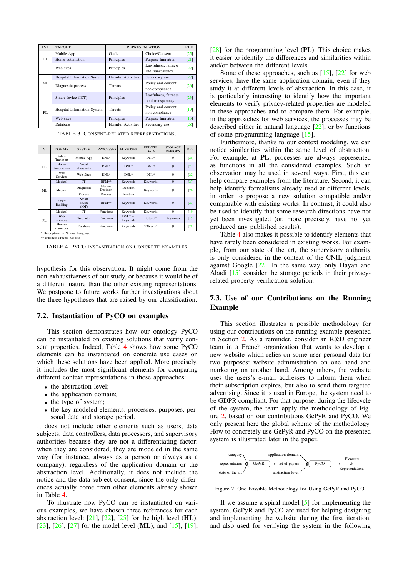| <b>LVL</b> | <b>TARGET</b>               | <b>REPRESENTATION</b>     |                                          | <b>REF</b> |
|------------|-----------------------------|---------------------------|------------------------------------------|------------|
|            | Mobile App                  | Goals                     | Choice/Consent                           | [25]       |
| HL.        | Home automation             | Principles                | Purpose limitation                       | $[21]$     |
|            | Web sites                   | Principles                | Lawfulness, fairness<br>and transparency | [22]       |
| ML         | Hospital Information System | Harmful Activities        | Secondary use                            | [27]       |
|            | Diagnostic process          | <b>Threats</b>            | Policy and consent<br>non-compliance     | [26]       |
|            | Smart device (IOT)          | Principles                | Lawfulness, fairness<br>and transparency | [23]       |
| PL         | Hospital Information System | <b>Threats</b>            | Policy and consent<br>non-compliance     | [19]       |
|            | Web sites                   | Principles                | Purpose limitation                       | $[15]$     |
|            | Database                    | <b>Harmful Activities</b> | Secondary use                            | $[28]$     |

<span id="page-6-2"></span>TABLE 3. CONSENT-RELATED REPRESENTATIONS.

| <b>LVL</b> | <b>DOMAIN</b>            | <b>SYSTEM</b>              | <b>PROCESSES</b>   | <b>PURPOSES</b>       | PRIVATE.<br><b>DATA</b> | STORAGE<br><b>PERIODS</b> | <b>REF</b> |
|------------|--------------------------|----------------------------|--------------------|-----------------------|-------------------------|---------------------------|------------|
|            | Public<br>Transport      | Mobile App                 | DNL <sup>*</sup>   | Keywords              | $DNL^*$                 | Ø                         | $[25]$     |
| HL         | Home<br>Automation       | Vocal<br><b>Assistants</b> | $DNL^*$            | $DNL^*$               | $DNL^*$                 | $\emptyset$               | [21]       |
|            | Web<br><b>Services</b>   | Web Sites                  | $DNL^*$            | $DNL*$                | $DNL^*$                 | Ø                         | [22]       |
| ML         | Medical                  | IT                         | BPM**              | Keywords              | Keywords                | $\emptyset$               | $[27]$     |
|            | Medical                  | Diagnostic                 | Markov<br>Decision | Decision              | Keywords                | $\emptyset$               | $[26]$     |
|            |                          | Process                    | Process            | function              |                         |                           |            |
|            | Smart<br><b>Building</b> | Smart<br>device<br>(IOT)   | <b>BPM**</b>       | Keywords              | Keywords                | $\emptyset$               | $[23]$     |
| PL         | Medical                  | IT                         | Functions          | Keywords              | Keywords                | $\emptyset$               | [19]       |
|            | Web<br>services          | Web sites                  | Functions          | $DNL*$ or<br>Keywords | "Object"                | Keywords                  | $[15]$     |
|            | Human<br>resources       | Database                   | Functions          | Keywords              | "Objects"               | $\emptyset$               | [28]       |

\* Descriptions in Natural Langua \*\* Business Process Models

<span id="page-6-3"></span>TABLE 4. PYCO INSTANTIATION ON CONCRETE EXAMPLES.

hypothesis for this observation. It might come from the non-exhaustiveness of our study, or because it would be of a different nature than the other existing representations. We postpone to future works further investigations about the three hypotheses that are raised by our classification.

#### <span id="page-6-1"></span>7.2. Instantiation of PyCO on examples

This section demonstrates how our ontology PyCO can be instantiated on existing solutions that verify consent properties. Indeed, Table [4](#page-6-3) shows how some PyCO elements can be instantiated on concrete use cases on which these solutions have been applied. More precisely, it includes the most significant elements for comparing different context representations in these approaches:

- the abstraction level:
- the application domain;
- the type of system;
- the key modeled elements: processes, purposes, personal data and storage period.

It does not include other elements such as users, data subjects, data controllers, data processors, and supervisory authorities because they are not a differentiating factor: when they are considered, they are modeled in the same way (for instance, always as a person or always as a company), regardless of the application domain or the abstraction level. Additionally, it does not include the notice and the data subject consent, since the only differences actually come from other elements already shown in Table [4.](#page-6-3)

To illustrate how PyCO can be instantiated on various examples, we have chosen three references for each abstraction level:  $[21]$ ,  $[22]$ ,  $[25]$  for the high level (HL), [\[23\]](#page-8-14), [\[26\]](#page-8-25), [\[27\]](#page-8-26) for the model level (ML), and  $[15]$ ,  $[19]$ ,

 $[28]$  for the programming level  $(PL)$ . This choice makes it easier to identify the differences and similarities within and/or between the different levels.

Some of these approaches, such as  $[15]$ ,  $[22]$  for web services, have the same application domain, even if they study it at different levels of abstraction. In this case, it is particularly interesting to identify how the important elements to verify privacy-related properties are modeled in these approaches and to compare them. For example, in the approaches for web services, the processes may be described either in natural language [\[22\]](#page-8-3), or by functions of some programming language [\[15\]](#page-8-13).

Furthermore, thanks to our context modeling, we can notice similarities within the same level of abstraction. For example, at PL, processes are always represented as functions in all the considered examples. Such an observation may be used in several ways. First, this can help compare examples from the literature. Second, it can help identify formalisms already used at different levels, in order to propose a new solution compatible and/or comparable with existing works. In contrast, it could also be used to identify that some research directions have not yet been investigated (or, more precisely, have not yet produced any published results).

Table [4](#page-6-3) also makes it possible to identify elements that have rarely been considered in existing works. For example, from our state of the art, the supervisory authority is only considered in the context of the CNIL judgment against Google [\[22\]](#page-8-3). In the same way, only Hayati and Abadi [\[15\]](#page-8-13) consider the storage periods in their privacyrelated property verification solution.

#### <span id="page-6-0"></span>7.3. Use of our Contributions on the Running Example

This section illustrates a possible methodology for using our contributions on the running example presented in Section [2.](#page-1-0) As a reminder, consider an R&D engineer team in a French organization that wants to develop a new website which relies on some user personal data for two purposes: website administration on one hand and marketing on another hand. Among others, the website uses the users's e-mail addresses to inform them when their subscription expires, but also to send them targeted advertising. Since it is used in Europe, the system need to be GDPR compliant. For that purpose, during the lifecycle of the system, the team apply the methodology of Figure [2,](#page-6-4) based on our contributions GePyR and PyCO. We only present here the global scheme of the methodology. How to concretely use GePyR and PyCO on the presented system is illustrated later in the paper.



<span id="page-6-4"></span>Figure 2. One Possible Methodology for Using GePyR and PyCO.

If we assume a spiral model [\[5\]](#page-8-29) for implementing the system, GePyR and PyCO are used for helping designing and implementing the website during the first iteration, and also used for verifying the system in the following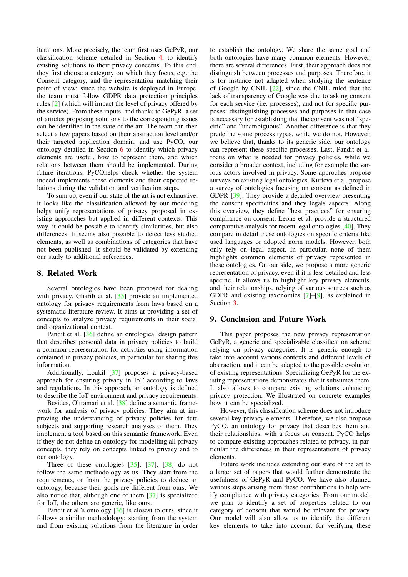iterations. More precisely, the team first uses GePyR, our classification scheme detailed in Section [4,](#page-1-2) to identify existing solutions to their privacy concerns. To this end, they first choose a category on which they focus, e.g. the Consent category, and the representation matching their point of view: since the website is deployed in Europe, the team must follow GDPR data protection principles rules [\[2\]](#page-8-0) (which will impact the level of privacy offered by the service). From these inputs, and thanks to GePyR, a set of articles proposing solutions to the corresponding issues can be identified in the state of the art. The team can then select a few papers based on their abstraction level and/or their targeted application domain, and use PyCO, our ontology detailed in Section [6](#page-3-0) to identify which privacy elements are useful, how to represent them, and which relations between them should be implemented. During future iterations, PyCOhelps check whether the system indeed implements these elements and their expected relations during the validation and verification steps.

To sum up, even if our state of the art is not exhaustive, it looks like the classification allowed by our modeling helps unify representations of privacy proposed in existing approaches but applied in different contexts. This way, it could be possible to identify similarities, but also differences. It seems also possible to detect less studied elements, as well as combinations of categories that have not been published. It should be validated by extending our study to additional references.

# <span id="page-7-0"></span>8. Related Work

Several ontologies have been proposed for dealing with privacy. Gharib et al. [\[35\]](#page-8-30) provide an implemented ontology for privacy requirements from laws based on a systematic literature review. It aims at providing a set of concepts to analyze privacy requirements in their social and organizational context.

Pandit et al. [\[36\]](#page-8-31) define an ontological design pattern that describes personal data in privacy policies to build a common representation for activities using information contained in privacy policies, in particular for sharing this information.

Additionally, Loukil [\[37\]](#page-8-32) proposes a privacy-based approach for ensuring privacy in IoT according to laws and regulations. In this approach, an ontology is defined to describe the IoT environment and privacy requirements.

Besides, Oltramari et al. [\[38\]](#page-8-33) define a semantic framework for analysis of privacy policies. They aim at improving the understanding of privacy policies for data subjects and supporting research analyses of them. They implement a tool based on this semantic framework. Even if they do not define an ontology for modelling all privacy concepts, they rely on concepts linked to privacy and to our ontology.

Three of these ontologies [\[35\]](#page-8-30), [\[37\]](#page-8-32), [\[38\]](#page-8-33) do not follow the same methodology as us. They start from the requirements, or from the privacy policies to deduce an ontology, because their goals are different from ours. We also notice that, although one of them [\[37\]](#page-8-32) is specialized for IoT, the others are generic, like ours.

Pandit et al.'s ontology [\[36\]](#page-8-31) is closest to ours, since it follows a similar methodology: starting from the system and from existing solutions from the literature in order

to establish the ontology. We share the same goal and both ontologies have many common elements. However, there are several differences. First, their approach does not distinguish between processes and purposes. Therefore, it is for instance not adapted when studying the sentence of Google by CNIL [\[22\]](#page-8-3), since the CNIL ruled that the lack of transparency of Google was due to asking consent for each service (i.e. processes), and not for specific purposes: distinguishing processes and purposes in that case is necessary for establishing that the consent was not "specific" and "unambiguous". Another difference is that they predefine some process types, while we do not. However, we believe that, thanks to its generic side, our ontology can represent these specific processes. Last, Pandit et al. focus on what is needed for privacy policies, while we consider a broader context, including for example the various actors involved in privacy. Some approches propose surveys on existing legal ontologies. Kurteva et al. propose a survey of ontologies focusing on consent as defined in GDPR [\[39\]](#page-8-34). They provide a detailed overview presenting the consent specificities and they legals aspects. Along this overview, they define "best practices" for ensuring compliance on consent. Leone et al. provide a structured comparative analysis for recent legal ontologies [\[40\]](#page-8-35). They compare in detail these ontologies on specific criteria like used languages or adopted norm models. However, both only rely on legal aspect. In particular, none of them highlights common elements of privacy represented in these ontologies. On our side, we propose a more generic representation of privacy, even if it is less detailed and less specific. It allows us to highlight key privacy elements, and their relationships, relying of various sources such as GDPR and existing taxonomies [\[7\]](#page-8-6)–[\[9\]](#page-8-7), as explained in Section [3.](#page-1-1)

## <span id="page-7-1"></span>9. Conclusion and Future Work

This paper proposes the new privacy representation GePyR, a generic and specializable classification scheme relying on privacy categories. It is generic enough to take into account various contexts and different levels of abstraction, and it can be adapted to the possible evolution of existing representations. Specializing GePyR for the existing representations demonstrates that it subsumes them. It also allows to compare existing solutions enhancing privacy protection. We illustrated on concrete examples how it can be specialized.

However, this classification scheme does not introduce several key privacy elements. Therefore, we also propose PyCO, an ontology for privacy that describes them and their relationships, with a focus on consent. PyCO helps to compare existing approaches related to privacy, in particular the differences in their representations of privacy elements.

Future work includes extending our state of the art to a larger set of papers that would further demonstrate the usefulness of GePyR and PyCO. We have also planned various steps arising from these contributions to help verify compliance with privacy categories. From our model, we plan to identify a set of properties related to our category of consent that would be relevant for privacy. Our model will also allow us to identify the different key elements to take into account for verifying these